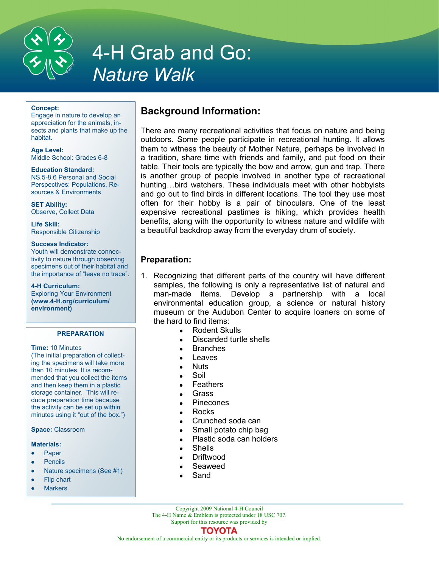

# 4-H Grab and Go: *Nature Walk*

#### **Concept:**

Engage in nature to develop an appreciation for the animals, insects and plants that make up the habitat.

**Age Level:**  Middle School: Grades 6-8

**Education Standard:**  NS.5-8.6 Personal and Social Perspectives: Populations, Resources & Environments

**SET Ability:**  Observe, Collect Data

**Life Skill:**  Responsible Citizenship

## **Success Indicator:**

Youth will demonstrate connectivity to nature through observing specimens out of their habitat and the importance of "leave no trace".

## **4-H Curriculum:**

Exploring Your Environment **(www.4-H.org/curriculum/ environment)**

## **PREPARATION**

## **Time:** 10 Minutes

(The initial preparation of collecting the specimens will take more than 10 minutes. It is recommended that you collect the items and then keep them in a plastic storage container. This will reduce preparation time because the activity can be set up within minutes using it "out of the box.")

## **Space:** Classroom

## **Materials:**

- Paper  $\bullet$
- Pencils  $\bullet$
- Nature specimens (See #1)  $\bullet$
- Flip chart
- **Markers**

## **Background Information:**

There are many recreational activities that focus on nature and being outdoors. Some people participate in recreational hunting. It allows them to witness the beauty of Mother Nature, perhaps be involved in a tradition, share time with friends and family, and put food on their table. Their tools are typically the bow and arrow, gun and trap. There is another group of people involved in another type of recreational hunting...bird watchers. These individuals meet with other hobbyists and go out to find birds in different locations. The tool they use most often for their hobby is a pair of binoculars. One of the least expensive recreational pastimes is hiking, which provides health benefits, along with the opportunity to witness nature and wildlife with a beautiful backdrop away from the everyday drum of society.

## **Preparation:**

- 1. Recognizing that different parts of the country will have different samples, the following is only a representative list of natural and man-made items. Develop a partnership with a local environmental education group, a science or natural history museum or the Audubon Center to acquire loaners on some of the hard to find items:
	- Rodent Skulls
	- Discarded turtle shells
	- Branches
	- Leaves
	- Nuts
	- Soil
	- Feathers
	- Grass
	- Pinecones
	- Rocks
	- Crunched soda can
	- Small potato chip bag
	- Plastic soda can holders
	- **Shells**
	- Driftwood
	- Seaweed
	- Sand

Copyright 2009 National 4-H Council The 4-H Name & Emblem is protected under 18 USC 707.

Support for this resource was provided by

## ΤΟΥΟΤΑ